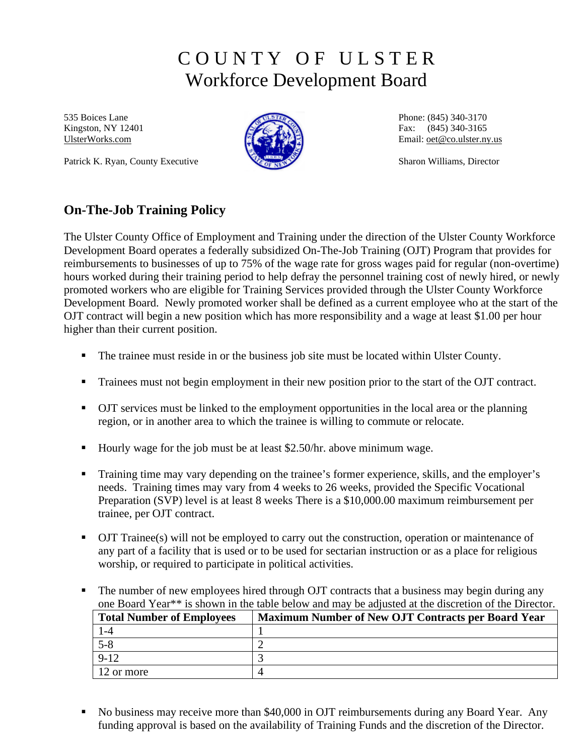# C O U N T Y O F U L S T E R Workforce Development Board

535 Boices Lane Kingston, NY 12401 [UlsterWorks.com](http://www.ulsterworks.com/) 

Patrick K. Ryan, County Executive



Phone: (845) 340-3170 Fax: (845) 340-3165 Email: [oet@co.ulster.ny.us](mailto:oet@co.ulster.ny.us)

Sharon Williams, Director

# **On-The-Job Training Policy**

The Ulster County Office of Employment and Training under the direction of the Ulster County Workforce Development Board operates a federally subsidized On-The-Job Training (OJT) Program that provides for reimbursements to businesses of up to 75% of the wage rate for gross wages paid for regular (non-overtime) hours worked during their training period to help defray the personnel training cost of newly hired, or newly promoted workers who are eligible for Training Services provided through the Ulster County Workforce Development Board. Newly promoted worker shall be defined as a current employee who at the start of the OJT contract will begin a new position which has more responsibility and a wage at least \$1.00 per hour higher than their current position.

- The trainee must reside in or the business job site must be located within Ulster County.
- **Trainees must not begin employment in their new position prior to the start of the OJT contract.**
- OJT services must be linked to the employment opportunities in the local area or the planning region, or in another area to which the trainee is willing to commute or relocate.
- Hourly wage for the job must be at least \$2.50/hr. above minimum wage.
- **Training time may vary depending on the trainee's former experience, skills, and the employer's** needs. Training times may vary from 4 weeks to 26 weeks, provided the Specific Vocational Preparation (SVP) level is at least 8 weeks There is a \$10,000.00 maximum reimbursement per trainee, per OJT contract.
- OJT Trainee(s) will not be employed to carry out the construction, operation or maintenance of any part of a facility that is used or to be used for sectarian instruction or as a place for religious worship, or required to participate in political activities.
- The number of new employees hired through OJT contracts that a business may begin during any one Board Year\*\* is shown in the table below and may be adjusted at the discretion of the Director.

| <b>Total Number of Employees</b> | <b>Maximum Number of New OJT Contracts per Board Year</b> |
|----------------------------------|-----------------------------------------------------------|
|                                  |                                                           |
| $5 - 8$                          |                                                           |
| $9 - 12$                         |                                                           |
| 12 or more                       |                                                           |

• No business may receive more than \$40,000 in OJT reimbursements during any Board Year. Any funding approval is based on the availability of Training Funds and the discretion of the Director.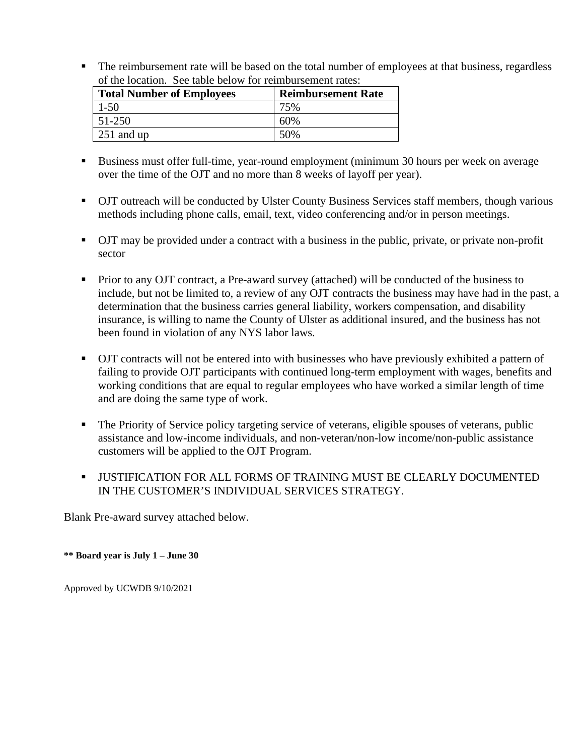The reimbursement rate will be based on the total number of employees at that business, regardless of the location. See table below for reimbursement rates:

| <b>Total Number of Employees</b> | <b>Reimbursement Rate</b> |  |  |
|----------------------------------|---------------------------|--|--|
| $1 - 50$                         | 75%                       |  |  |
| 51-250                           | 60%                       |  |  |
| $251$ and up                     | 50%                       |  |  |

- Business must offer full-time, year-round employment (minimum 30 hours per week on average over the time of the OJT and no more than 8 weeks of layoff per year).
- OJT outreach will be conducted by Ulster County Business Services staff members, though various methods including phone calls, email, text, video conferencing and/or in person meetings.
- OJT may be provided under a contract with a business in the public, private, or private non-profit sector
- **Prior to any OJT contract, a Pre-award survey (attached) will be conducted of the business to** include, but not be limited to, a review of any OJT contracts the business may have had in the past, a determination that the business carries general liability, workers compensation, and disability insurance, is willing to name the County of Ulster as additional insured, and the business has not been found in violation of any NYS labor laws.
- OJT contracts will not be entered into with businesses who have previously exhibited a pattern of failing to provide OJT participants with continued long-term employment with wages, benefits and working conditions that are equal to regular employees who have worked a similar length of time and are doing the same type of work.
- The Priority of Service policy targeting service of veterans, eligible spouses of veterans, public assistance and low-income individuals, and non-veteran/non-low income/non-public assistance customers will be applied to the OJT Program.
- **USTIFICATION FOR ALL FORMS OF TRAINING MUST BE CLEARLY DOCUMENTED** IN THE CUSTOMER'S INDIVIDUAL SERVICES STRATEGY.

Blank Pre-award survey attached below.

**\*\* Board year is July 1 – June 30**

Approved by UCWDB 9/10/2021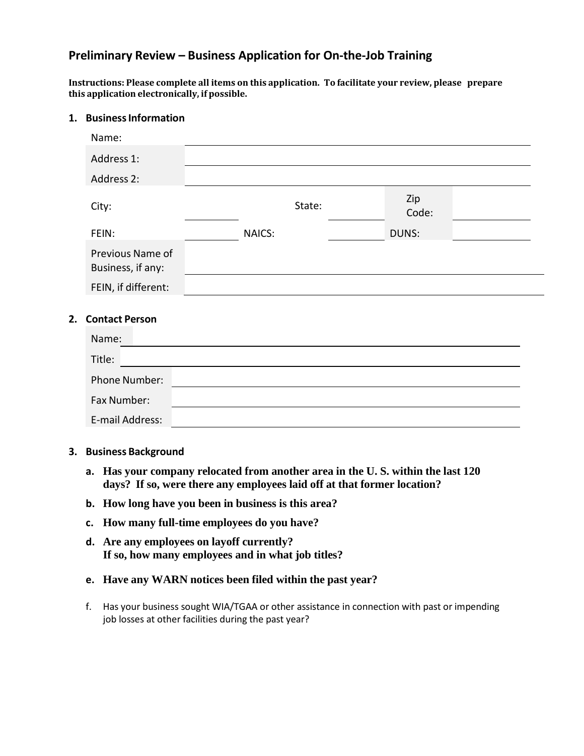### **Preliminary Review – Business Application for On-the-Job Training**

**Instructions: Please complete all items on this application. To facilitate your review, please prepare this application electronically, if possible.**

#### **1. BusinessInformation**

| Name:                                 |        |              |  |
|---------------------------------------|--------|--------------|--|
| Address 1:                            |        |              |  |
| Address 2:                            |        |              |  |
| City:                                 | State: | Zip<br>Code: |  |
| FEIN:                                 | NAICS: | DUNS:        |  |
| Previous Name of<br>Business, if any: |        |              |  |
| FEIN, if different:                   |        |              |  |
| 2. Contact Person                     |        |              |  |
| Name:                                 |        |              |  |
| Title:                                |        |              |  |
| Phone Number:                         |        |              |  |
| Fax Number:                           |        |              |  |
| E-mail Address:                       |        |              |  |

- **3. Business Background**
	- **a. Has your company relocated from another area in the U. S. within the last 120 days? If so, were there any employees laid off at that former location?**
	- **b. How long have you been in business is this area?**
	- **c. How many full-time employees do you have?**
	- **d. Are any employees on layoff currently? If so, how many employees and in what job titles?**
	- **e. Have any WARN notices been filed within the past year?**
	- f. Has your business sought WIA/TGAA or other assistance in connection with past or impending job losses at other facilities during the past year?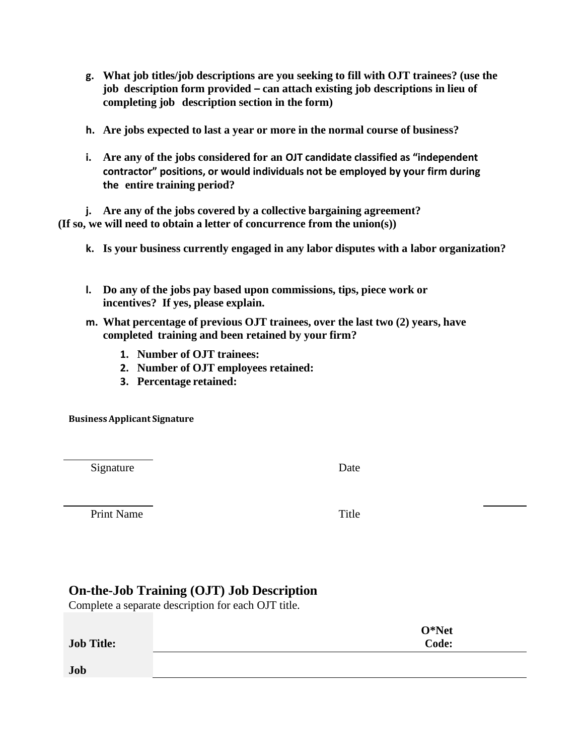- **g. What job titles/job descriptions are you seeking to fill with OJT trainees? (use the job description form provided – can attach existing job descriptions in lieu of completing job description section in the form)**
- **h. Are jobs expected to last a year or more in the normal course of business?**
- **i. Are any of the jobs considered for an OJT candidate classified as "independent contractor" positions, or would individuals not be employed by your firm during the entire training period?**

**j. Are any of the jobs covered by a collective bargaining agreement? (If so, we will need to obtain a letter of concurrence from the union(s))**

- **k. Is your business currently engaged in any labor disputes with a labor organization?**
- **l. Do any of the jobs pay based upon commissions, tips, piece work or incentives? If yes, please explain.**
- **m. What percentage of previous OJT trainees, over the last two (2) years, have completed training and been retained by your firm?**
	- **1. Number of OJT trainees:**
	- **2. Number of OJT employees retained:**
	- **3. Percentage retained:**

**BusinessApplicant Signature**

Signature Date

Print Name Title

## **On-the-Job Training (OJT) Job Description**

Complete a separate description for each OJT title.

| <b>Job Title:</b> | $O*Net$<br>Code: |
|-------------------|------------------|
| Job               |                  |